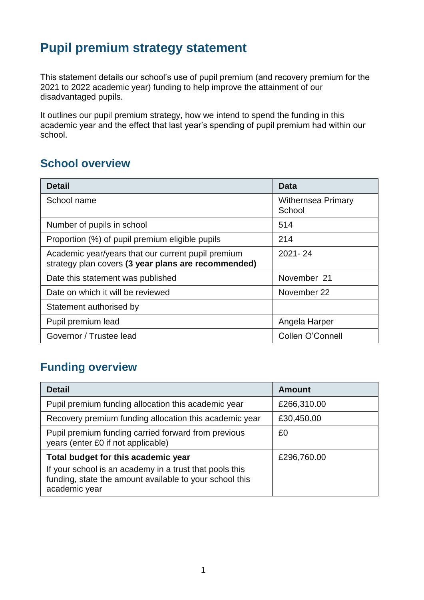# **Pupil premium strategy statement**

This statement details our school's use of pupil premium (and recovery premium for the 2021 to 2022 academic year) funding to help improve the attainment of our disadvantaged pupils.

It outlines our pupil premium strategy, how we intend to spend the funding in this academic year and the effect that last year's spending of pupil premium had within our school.

## **School overview**

| <b>Detail</b>                                                                                             | Data                                |
|-----------------------------------------------------------------------------------------------------------|-------------------------------------|
| School name                                                                                               | <b>Withernsea Primary</b><br>School |
| Number of pupils in school                                                                                | 514                                 |
| Proportion (%) of pupil premium eligible pupils                                                           | 214                                 |
| Academic year/years that our current pupil premium<br>strategy plan covers (3 year plans are recommended) | $2021 - 24$                         |
| Date this statement was published                                                                         | November 21                         |
| Date on which it will be reviewed                                                                         | November 22                         |
| Statement authorised by                                                                                   |                                     |
| Pupil premium lead                                                                                        | Angela Harper                       |
| Governor / Trustee lead                                                                                   | Collen O'Connell                    |

## **Funding overview**

| <b>Detail</b>                                                                                                                       | <b>Amount</b> |
|-------------------------------------------------------------------------------------------------------------------------------------|---------------|
| Pupil premium funding allocation this academic year                                                                                 | £266,310.00   |
| Recovery premium funding allocation this academic year                                                                              | £30,450.00    |
| Pupil premium funding carried forward from previous<br>years (enter £0 if not applicable)                                           | £0            |
| Total budget for this academic year                                                                                                 | £296,760.00   |
| If your school is an academy in a trust that pools this<br>funding, state the amount available to your school this<br>academic year |               |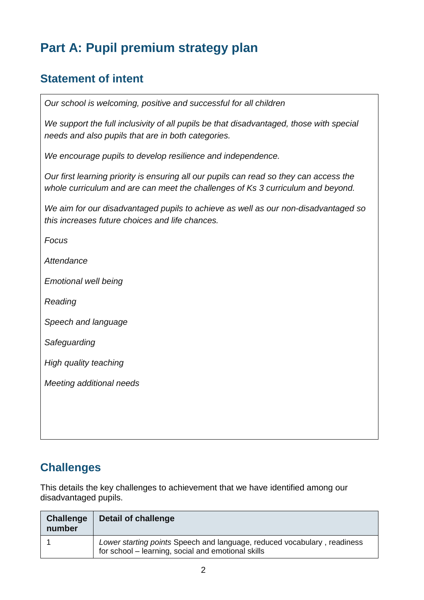# **Part A: Pupil premium strategy plan**

## **Statement of intent**

*Our school is welcoming, positive and successful for all children* 

*We support the full inclusivity of all pupils be that disadvantaged, those with special needs and also pupils that are in both categories.*

*We encourage pupils to develop resilience and independence.* 

*Our first learning priority is ensuring all our pupils can read so they can access the whole curriculum and are can meet the challenges of Ks 3 curriculum and beyond.* 

*We aim for our disadvantaged pupils to achieve as well as our non-disadvantaged so this increases future choices and life chances.* 

*Focus* 

*Attendance* 

*Emotional well being* 

*Reading* 

*Speech and language* 

*Safeguarding* 

*High quality teaching* 

*Meeting additional needs* 

### **Challenges**

This details the key challenges to achievement that we have identified among our disadvantaged pupils.

| <b>Challenge</b><br>number | Detail of challenge                                                                                                            |
|----------------------------|--------------------------------------------------------------------------------------------------------------------------------|
|                            | Lower starting points Speech and language, reduced vocabulary, readiness<br>for school – learning, social and emotional skills |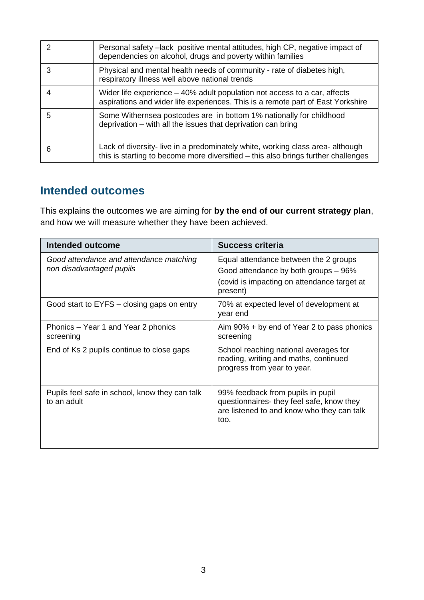|   | Personal safety –lack positive mental attitudes, high CP, negative impact of<br>dependencies on alcohol, drugs and poverty within families                        |
|---|-------------------------------------------------------------------------------------------------------------------------------------------------------------------|
| З | Physical and mental health needs of community - rate of diabetes high,<br>respiratory illness well above national trends                                          |
|   | Wider life experience – 40% adult population not access to a car, affects<br>aspirations and wider life experiences. This is a remote part of East Yorkshire      |
| 5 | Some Withernsea postcodes are in bottom 1% nationally for childhood<br>deprivation – with all the issues that deprivation can bring                               |
| 6 | Lack of diversity-live in a predominately white, working class area-although<br>this is starting to become more diversified – this also brings further challenges |

### **Intended outcomes**

This explains the outcomes we are aiming for **by the end of our current strategy plan**, and how we will measure whether they have been achieved.

| Intended outcome                                                    | <b>Success criteria</b>                                                                                                                  |
|---------------------------------------------------------------------|------------------------------------------------------------------------------------------------------------------------------------------|
| Good attendance and attendance matching<br>non disadvantaged pupils | Equal attendance between the 2 groups<br>Good attendance by both groups - 96%<br>(covid is impacting on attendance target at<br>present) |
| Good start to EYFS – closing gaps on entry                          | 70% at expected level of development at<br>year end                                                                                      |
| Phonics – Year 1 and Year 2 phonics<br>screening                    | Aim 90% + by end of Year 2 to pass phonics<br>screening                                                                                  |
| End of Ks 2 pupils continue to close gaps                           | School reaching national averages for<br>reading, writing and maths, continued<br>progress from year to year.                            |
| Pupils feel safe in school, know they can talk<br>to an adult       | 99% feedback from pupils in pupil<br>questionnaires-they feel safe, know they<br>are listened to and know who they can talk<br>too.      |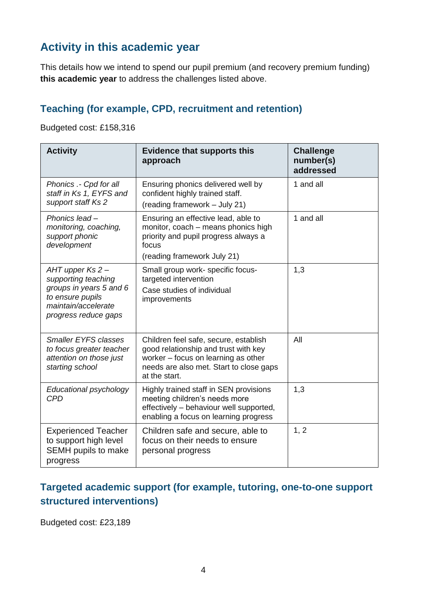## **Activity in this academic year**

This details how we intend to spend our pupil premium (and recovery premium funding) **this academic year** to address the challenges listed above.

### **Teaching (for example, CPD, recruitment and retention)**

Budgeted cost: £158,316

| <b>Activity</b>                                                                                                                       | <b>Evidence that supports this</b><br>approach                                                                                                                                   | <b>Challenge</b><br>number(s)<br>addressed |
|---------------------------------------------------------------------------------------------------------------------------------------|----------------------------------------------------------------------------------------------------------------------------------------------------------------------------------|--------------------------------------------|
| Phonics .- Cpd for all<br>staff in Ks 1, EYFS and<br>support staff Ks 2                                                               | Ensuring phonics delivered well by<br>confident highly trained staff.<br>(reading framework - July 21)                                                                           | 1 and all                                  |
| Phonics lead-<br>monitoring, coaching,<br>support phonic<br>development                                                               | Ensuring an effective lead, able to<br>monitor, coach - means phonics high<br>priority and pupil progress always a<br>focus<br>(reading framework July 21)                       | 1 and all                                  |
| AHT upper Ks 2 –<br>supporting teaching<br>groups in years 5 and 6<br>to ensure pupils<br>maintain/accelerate<br>progress reduce gaps | Small group work- specific focus-<br>targeted intervention<br>Case studies of individual<br>improvements                                                                         | 1,3                                        |
| <b>Smaller EYFS classes</b><br>to focus greater teacher<br>attention on those just<br>starting school                                 | Children feel safe, secure, establish<br>good relationship and trust with key<br>worker – focus on learning as other<br>needs are also met. Start to close gaps<br>at the start. | All                                        |
| Educational psychology<br><b>CPD</b>                                                                                                  | Highly trained staff in SEN provisions<br>meeting children's needs more<br>effectively - behaviour well supported,<br>enabling a focus on learning progress                      | 1,3                                        |
| <b>Experienced Teacher</b><br>to support high level<br>SEMH pupils to make<br>progress                                                | Children safe and secure, able to<br>focus on their needs to ensure<br>personal progress                                                                                         | 1, 2                                       |

## **Targeted academic support (for example, tutoring, one-to-one support structured interventions)**

Budgeted cost: £23,189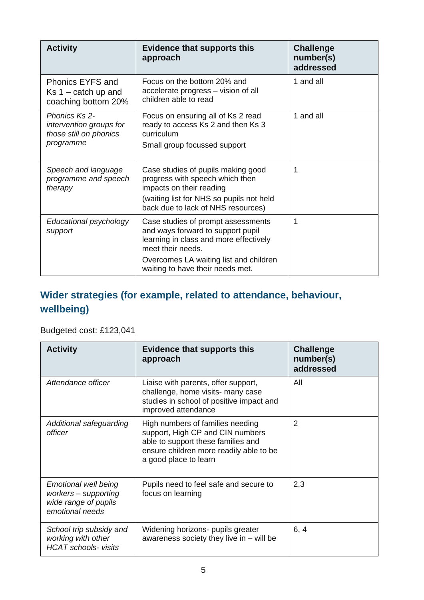| <b>Activity</b>                                                                 | <b>Evidence that supports this</b><br>approach                                                                                                                                                                       | <b>Challenge</b><br>number(s)<br>addressed |
|---------------------------------------------------------------------------------|----------------------------------------------------------------------------------------------------------------------------------------------------------------------------------------------------------------------|--------------------------------------------|
| <b>Phonics EYFS and</b><br>$Ks$ 1 – catch up and<br>coaching bottom 20%         | Focus on the bottom 20% and<br>accelerate progress – vision of all<br>children able to read                                                                                                                          | 1 and all                                  |
| Phonics Ks 2-<br>intervention groups for<br>those still on phonics<br>programme | Focus on ensuring all of Ks 2 read<br>ready to access Ks 2 and then Ks 3<br>curriculum<br>Small group focussed support                                                                                               | 1 and all                                  |
| Speech and language<br>programme and speech<br>therapy                          | Case studies of pupils making good<br>progress with speech which then<br>impacts on their reading<br>(waiting list for NHS so pupils not held<br>back due to lack of NHS resources)                                  | 1                                          |
| Educational psychology<br>support                                               | Case studies of prompt assessments<br>and ways forward to support pupil<br>learning in class and more effectively<br>meet their needs.<br>Overcomes LA waiting list and children<br>waiting to have their needs met. | 1                                          |

## **Wider strategies (for example, related to attendance, behaviour, wellbeing)**

### Budgeted cost: £123,041

| <b>Activity</b>                                                                                | <b>Evidence that supports this</b><br>approach                                                                                                                                 | <b>Challenge</b><br>number(s)<br>addressed |
|------------------------------------------------------------------------------------------------|--------------------------------------------------------------------------------------------------------------------------------------------------------------------------------|--------------------------------------------|
| Attendance officer                                                                             | Liaise with parents, offer support,<br>challenge, home visits- many case<br>studies in school of positive impact and<br>improved attendance                                    | All                                        |
| Additional safeguarding<br>officer                                                             | High numbers of families needing<br>support, High CP and CIN numbers<br>able to support these families and<br>ensure children more readily able to be<br>a good place to learn | $\overline{2}$                             |
| <b>Emotional well being</b><br>workers - supporting<br>wide range of pupils<br>emotional needs | Pupils need to feel safe and secure to<br>focus on learning                                                                                                                    | 2,3                                        |
| School trip subsidy and<br>working with other<br><b>HCAT</b> schools- visits                   | Widening horizons- pupils greater<br>awareness society they live in – will be                                                                                                  | 6, 4                                       |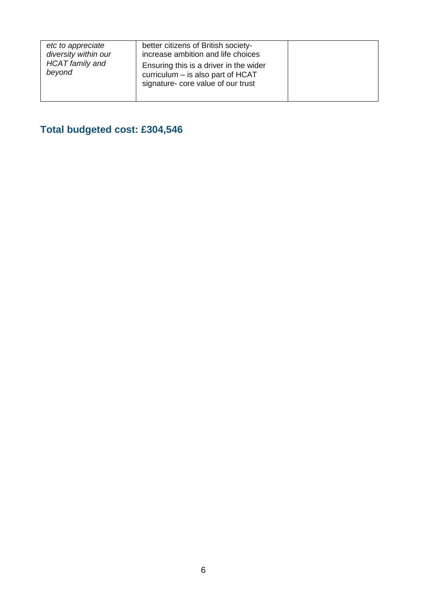| etc to appreciate<br>diversity within our<br><b>HCAT</b> family and<br>beyond | better citizens of British society-<br>increase ambition and life choices<br>Ensuring this is a driver in the wider<br>curriculum - is also part of HCAT<br>signature- core value of our trust |  |
|-------------------------------------------------------------------------------|------------------------------------------------------------------------------------------------------------------------------------------------------------------------------------------------|--|
|                                                                               |                                                                                                                                                                                                |  |

# **Total budgeted cost: £304,546**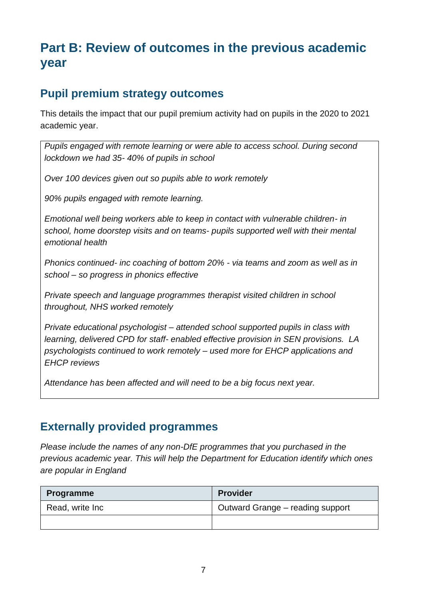# **Part B: Review of outcomes in the previous academic year**

## **Pupil premium strategy outcomes**

This details the impact that our pupil premium activity had on pupils in the 2020 to 2021 academic year.

*Pupils engaged with remote learning or were able to access school. During second lockdown we had 35- 40% of pupils in school* 

*Over 100 devices given out so pupils able to work remotely* 

*90% pupils engaged with remote learning.* 

*Emotional well being workers able to keep in contact with vulnerable children- in school, home doorstep visits and on teams- pupils supported well with their mental emotional health* 

*Phonics continued- inc coaching of bottom 20% - via teams and zoom as well as in school – so progress in phonics effective* 

*Private speech and language programmes therapist visited children in school throughout, NHS worked remotely* 

*Private educational psychologist – attended school supported pupils in class with learning, delivered CPD for staff- enabled effective provision in SEN provisions. LA psychologists continued to work remotely – used more for EHCP applications and EHCP reviews* 

*Attendance has been affected and will need to be a big focus next year.* 

### **Externally provided programmes**

*Please include the names of any non-DfE programmes that you purchased in the previous academic year. This will help the Department for Education identify which ones are popular in England*

| <b>Programme</b> | <b>Provider</b>                  |
|------------------|----------------------------------|
| Read, write Inc  | Outward Grange – reading support |
|                  |                                  |